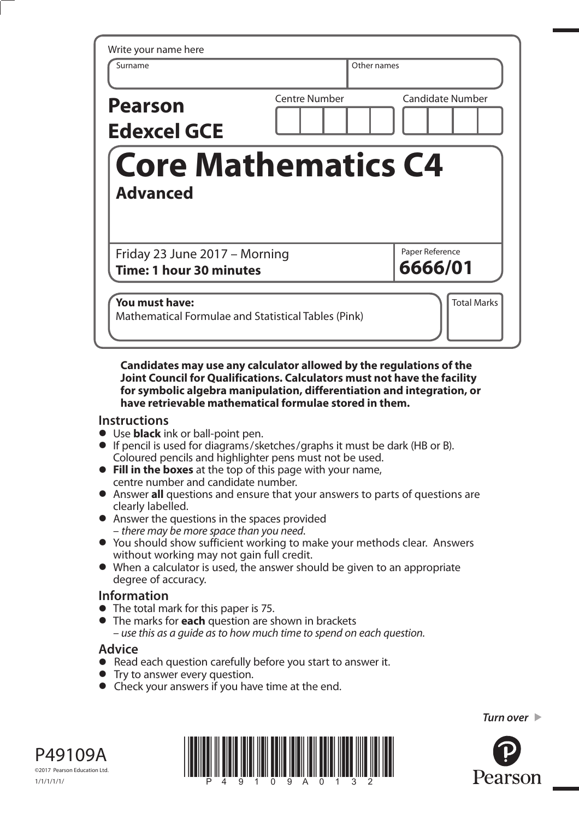| Write your name here<br>Surname                          | Other names                              |
|----------------------------------------------------------|------------------------------------------|
| <b>Pearson</b><br><b>Edexcel GCE</b>                     | Centre Number<br><b>Candidate Number</b> |
|                                                          |                                          |
| <b>Advanced</b>                                          | <b>Core Mathematics C4</b>               |
|                                                          | Paper Reference                          |
| Friday 23 June 2017 - Morning<br>Time: 1 hour 30 minutes | 6666/01                                  |

**Candidates may use any calculator allowed by the regulations of the Joint Council for Qualifications. Calculators must not have the facility for symbolic algebra manipulation, differentiation and integration, or have retrievable mathematical formulae stored in them.** 

## **Instructions**

- **•** Use **black** ink or ball-point pen.
- **•** If pencil is used for diagrams/sketches/graphs it must be dark (HB or B). Coloured pencils and highlighter pens must not be used. **• Fill in the boxes** at the top of this page with your name,
- centre number and candidate number. **•** Fill in the boxes at the top of this page with your name,<br>
centre number and candidate number.<br>
• Answer all questions and ensure that your answers to parts of questions are
- clearly labelled.
- **•** Answer the questions in the spaces provided – there may be more space than you need.
- **•** You should show sufficient working to make your methods clear. Answers without working may not gain full credit.
- **•** When a calculator is used, the answer should be given to an appropriate degree of accuracy.

## **Information**

- **•** The total mark for this paper is 75.
- **•** The marks for **each** question are shown in brackets – use this as a guide as to how much time to spend on each question.

## **Advice**

- **Advice**<br>● Read each question carefully before you start to answer it. • Read each question carefully<br>• Try to answer every question.
- 
- Try to answer every question.<br>• Check your answers if you have time at the end.





*Turn over* 

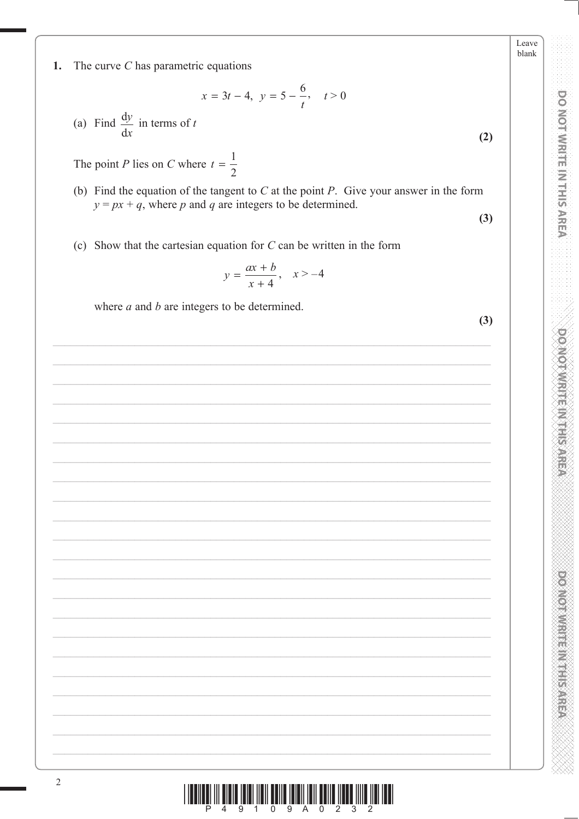Leave blank

 $(2)$ 

 $(3)$ 

 $(3)$ 

**DO NOT WRITE IN THIS AREA** 

**DONOMIC TELEVISION** 

1. The curve  $C$  has parametric equations

$$
x = 3t - 4, \ y = 5 - \frac{6}{t}, \quad t > 0
$$

(a) Find  $\frac{dy}{dx}$  in terms of t

The point *P* lies on *C* where  $t = \frac{1}{2}$ 

- (b) Find the equation of the tangent to  $C$  at the point  $P$ . Give your answer in the form  $y = px + q$ , where p and q are integers to be determined.
- (c) Show that the cartesian equation for  $C$  can be written in the form

$$
y = \frac{ax+b}{x+4}, \quad x > -4
$$

where  $a$  and  $b$  are integers to be determined.

<u>||ITINI || MILIT || MILIT || MILIT || MILIT || MILIT || MILIT || MILIT || MILIT || MILIT || MILIT |</u>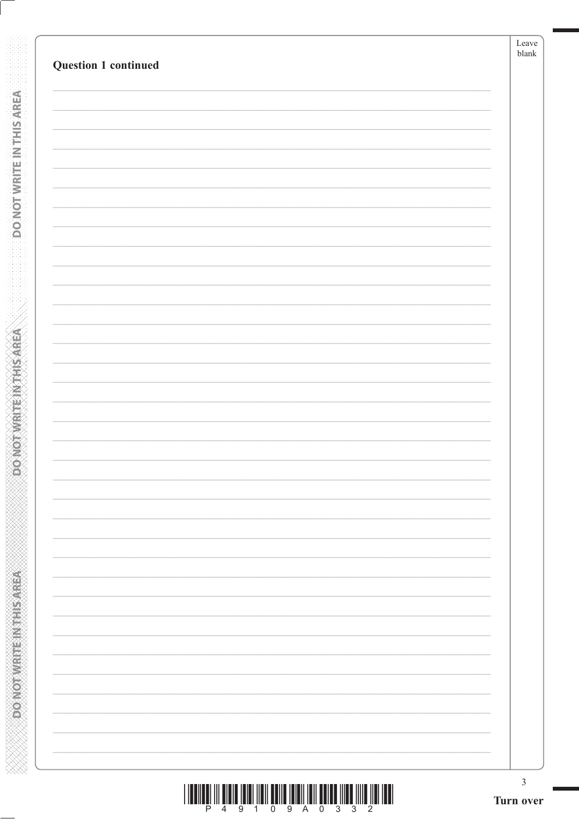|                      | Leave<br>$_{\rm blank}$ |
|----------------------|-------------------------|
| Question 1 continued |                         |
|                      |                         |
|                      |                         |
|                      |                         |
|                      |                         |
|                      |                         |
|                      |                         |
|                      |                         |
|                      |                         |
|                      |                         |
|                      |                         |
|                      |                         |
|                      |                         |
|                      |                         |
|                      |                         |
|                      |                         |
|                      |                         |
|                      |                         |
|                      |                         |
|                      |                         |
|                      |                         |
|                      |                         |
|                      |                         |
|                      |                         |
|                      |                         |
|                      |                         |
|                      |                         |
|                      |                         |
|                      |                         |
|                      |                         |
|                      |                         |
|                      |                         |
|                      |                         |
|                      |                         |
|                      | $\mathfrak{Z}$          |

**DONOTWEITEINTHISAREA** 

**Example 2014 The Model of Action** 

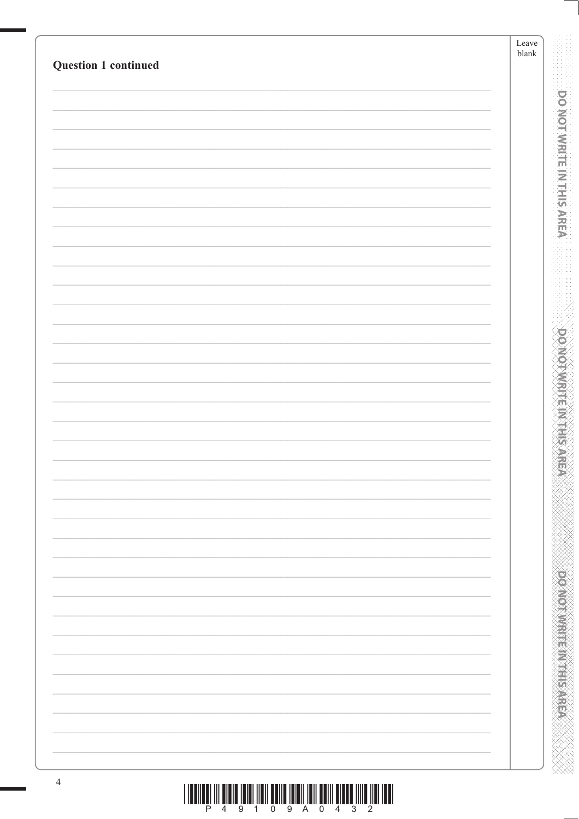| Question 1 continued |  |  |
|----------------------|--|--|
|                      |  |  |
|                      |  |  |
|                      |  |  |
|                      |  |  |
|                      |  |  |
|                      |  |  |
|                      |  |  |
|                      |  |  |
|                      |  |  |
|                      |  |  |
|                      |  |  |
|                      |  |  |
|                      |  |  |
|                      |  |  |
|                      |  |  |
|                      |  |  |
|                      |  |  |
|                      |  |  |
|                      |  |  |
|                      |  |  |
|                      |  |  |
|                      |  |  |
|                      |  |  |
|                      |  |  |
|                      |  |  |
|                      |  |  |
|                      |  |  |
|                      |  |  |
|                      |  |  |
|                      |  |  |
|                      |  |  |
|                      |  |  |
|                      |  |  |
|                      |  |  |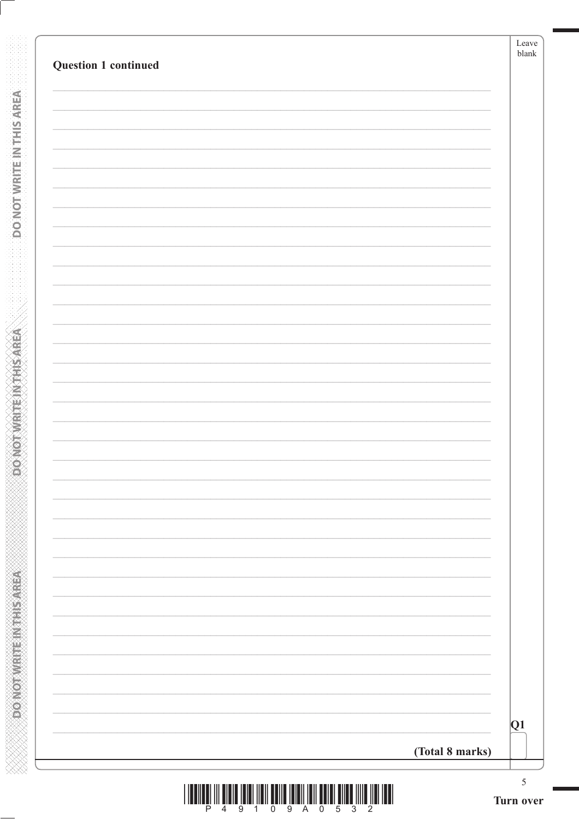| <b>Question 1 continued</b> |                 | Leave<br>blank |
|-----------------------------|-----------------|----------------|
|                             |                 |                |
|                             |                 |                |
|                             |                 |                |
|                             |                 |                |
|                             |                 |                |
|                             |                 |                |
|                             |                 |                |
|                             |                 |                |
|                             |                 |                |
|                             |                 |                |
|                             |                 |                |
|                             |                 |                |
|                             |                 |                |
|                             |                 |                |
|                             |                 |                |
|                             |                 |                |
|                             |                 |                |
|                             |                 |                |
|                             |                 |                |
|                             |                 |                |
|                             |                 |                |
|                             |                 |                |
|                             |                 |                |
|                             |                 |                |
|                             |                 |                |
|                             |                 |                |
|                             |                 |                |
|                             |                 |                |
|                             |                 | Q1             |
|                             | (Total 8 marks) |                |
|                             |                 | 5              |

**DONOTWEITEINTHIS AREA** 

**BOONOT WRITEIN THIS AREA**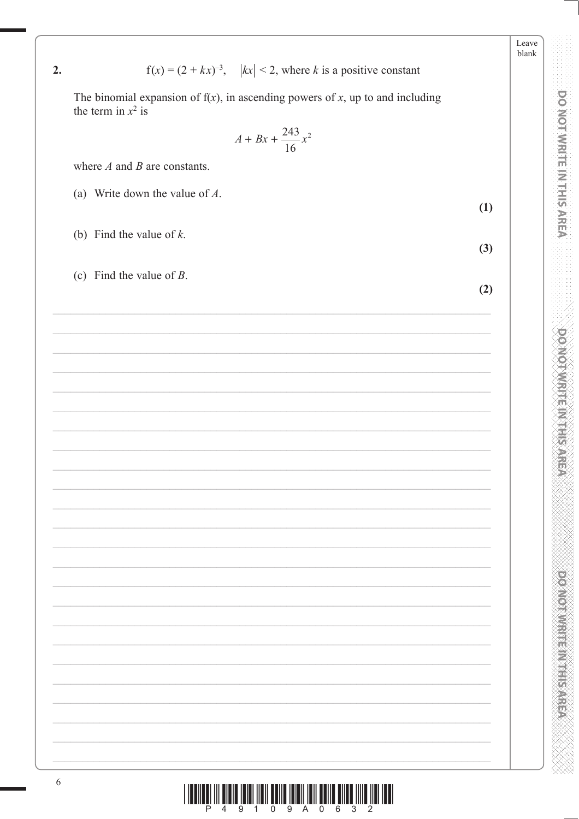| The binomial expansion of $f(x)$ , in ascending powers of x, up to and including<br>the term in $x^2$ is |     |  |  |  |  |  |  |
|----------------------------------------------------------------------------------------------------------|-----|--|--|--|--|--|--|
| $A + Bx + \frac{243}{16}x^2$                                                                             |     |  |  |  |  |  |  |
| where $A$ and $B$ are constants.                                                                         |     |  |  |  |  |  |  |
| (a) Write down the value of $A$ .                                                                        | (1) |  |  |  |  |  |  |
| (b) Find the value of $k$ .                                                                              | (3) |  |  |  |  |  |  |
| (c) Find the value of $B$ .                                                                              | (2) |  |  |  |  |  |  |
|                                                                                                          |     |  |  |  |  |  |  |
|                                                                                                          |     |  |  |  |  |  |  |
|                                                                                                          |     |  |  |  |  |  |  |
|                                                                                                          |     |  |  |  |  |  |  |
|                                                                                                          |     |  |  |  |  |  |  |

 $f(x) = (2 + kx)^{-3}$ ,  $|kx| < 2$ , where k is a positive constant

Leave blank

**DO NOT WRITE IN THIS AREA** 

**DO NOTWRITE IN THIS AREA** 



 $2.$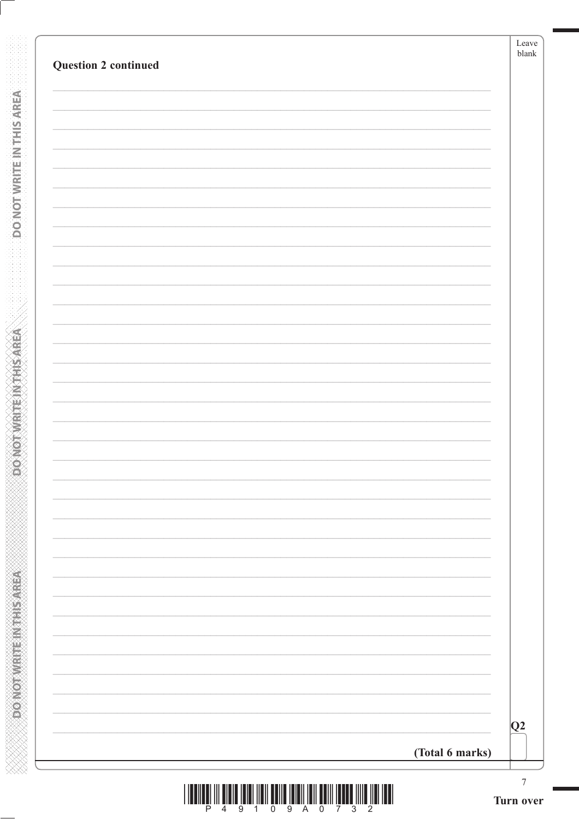| <b>Question 2 continued</b> |                 | Leave<br>blank  |
|-----------------------------|-----------------|-----------------|
|                             |                 |                 |
|                             |                 |                 |
|                             |                 |                 |
|                             |                 |                 |
|                             |                 |                 |
|                             |                 |                 |
|                             |                 |                 |
|                             |                 |                 |
|                             |                 |                 |
|                             |                 |                 |
|                             |                 |                 |
|                             |                 |                 |
|                             |                 |                 |
|                             |                 |                 |
|                             |                 |                 |
|                             |                 |                 |
|                             |                 |                 |
|                             |                 |                 |
|                             |                 |                 |
|                             |                 |                 |
|                             |                 |                 |
|                             |                 |                 |
|                             |                 |                 |
|                             |                 |                 |
|                             |                 |                 |
|                             |                 |                 |
|                             |                 |                 |
|                             |                 |                 |
|                             |                 | Q2              |
|                             | (Total 6 marks) |                 |
|                             |                 | $7\overline{ }$ |

**DONOTWATEWANSAREA** 

**DONOT WRITEINTHS AREA**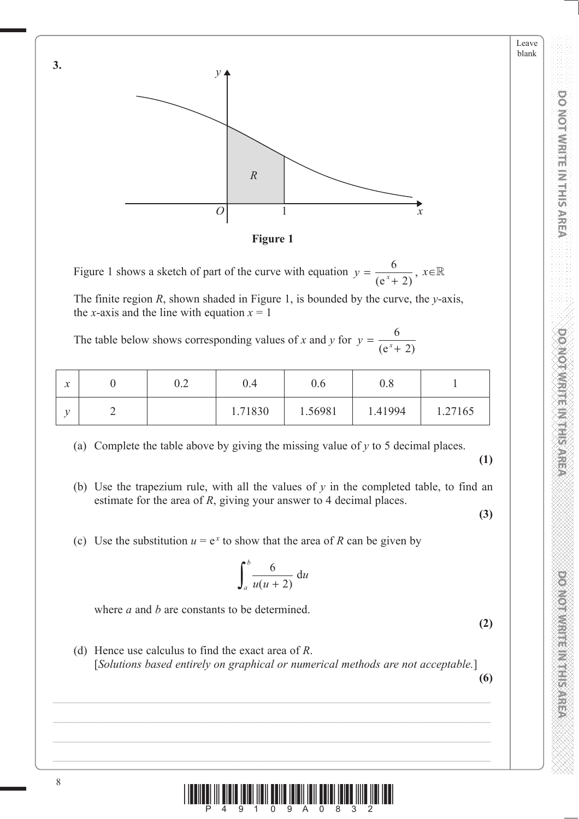Leave blank



**Figure 1**

Figure 1 shows a sketch of part of the curve with equation  $y = \frac{6}{(e^x + 2)}$ ,  $x \in \mathbb{R}$ 

The finite region *R*, shown shaded in Figure 1, is bounded by the curve, the *y*-axis, the *x*-axis and the line with equation  $x = 1$ 

The table below shows corresponding values of *x* and *y* for  $y = \frac{6}{(e^x + 1)^2}$  $(e^{x} + 2)$ 

| $\bullet$<br>$\boldsymbol{\mathcal{N}}$ | ∩ ว<br>∪.∠ | $\rm 0.4$ | U.O     | $0.8\,$ |         |
|-----------------------------------------|------------|-----------|---------|---------|---------|
|                                         |            | 1.71830   | 1.56981 | 1.41994 | 1.27165 |

(a) Complete the table above by giving the missing value of *y* to 5 decimal places.

**(1)**

(b) Use the trapezium rule, with all the values of  $y$  in the completed table, to find an estimate for the area of *R*, giving your answer to 4 decimal places.

**(3)**

(c) Use the substitution  $u = e^x$  to show that the area of R can be given by

$$
\int_a^b \frac{6}{u(u+2)} \, \mathrm{d}u
$$

where *a* and *b* are constants to be determined.

**(2)**

 (d) Hence use calculus to find the exact area of *R*. [*Solutions based entirely on graphical or numerical methods are not acceptable.*]

**(6)**



**3.**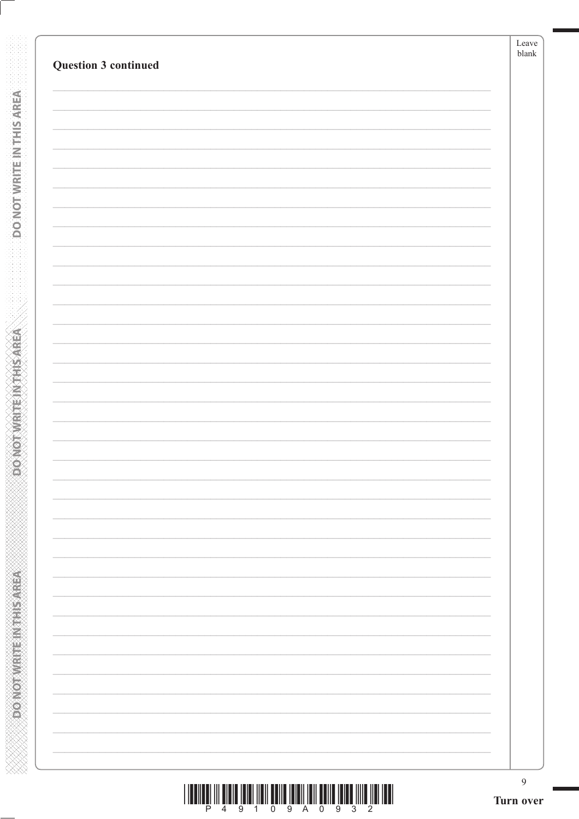| <b>Question 3 continued</b> | Leave<br>blank |
|-----------------------------|----------------|
|                             |                |
|                             |                |
|                             |                |
|                             |                |
|                             |                |
|                             |                |
|                             |                |
|                             |                |
|                             |                |
|                             |                |
|                             |                |
|                             |                |
|                             |                |
|                             |                |
|                             |                |
|                             |                |
|                             |                |
|                             |                |
|                             |                |
|                             |                |
|                             |                |
|                             |                |
|                             |                |
|                             |                |
|                             |                |
|                             |                |
|                             |                |
|                             |                |
|                             |                |
|                             |                |
|                             |                |
|                             | 9              |

**DONOTWEITEINTHISAREA** 

**CONCRETE INTERNATION** 

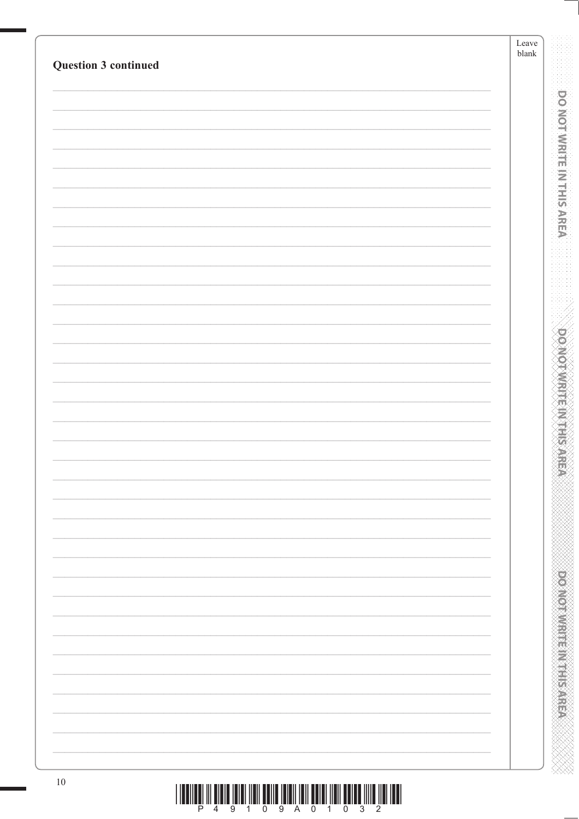| <b>Question 3 continued</b> |                                                                                    | Leave<br>$\ensuremath{\textrm{blank}}$ |
|-----------------------------|------------------------------------------------------------------------------------|----------------------------------------|
|                             |                                                                                    |                                        |
|                             |                                                                                    |                                        |
|                             |                                                                                    |                                        |
|                             |                                                                                    |                                        |
|                             |                                                                                    |                                        |
|                             |                                                                                    |                                        |
|                             |                                                                                    |                                        |
|                             |                                                                                    |                                        |
|                             |                                                                                    |                                        |
|                             |                                                                                    |                                        |
|                             |                                                                                    |                                        |
|                             |                                                                                    |                                        |
|                             |                                                                                    |                                        |
|                             |                                                                                    |                                        |
|                             |                                                                                    |                                        |
|                             |                                                                                    |                                        |
|                             |                                                                                    |                                        |
|                             |                                                                                    |                                        |
| $10\,$                      | <u> I denie di nie dele terminen edite terminen edien neu edite nite terminen.</u> |                                        |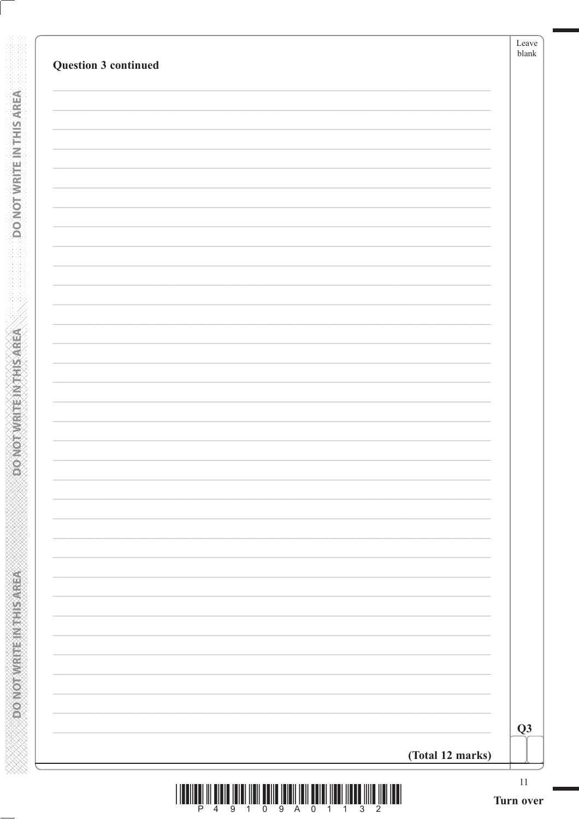| (Total 12 marks) |  |
|------------------|--|

**DONOTWRITE IN THIS AREA** 

**DONOTWRITEINTHISATEA** 

| I III DHE ITILI IIII DHE ITILI III DHE ITILI III DHE III |  |  |  |  |  |  |
|----------------------------------------------------------|--|--|--|--|--|--|
|                                                          |  |  |  |  |  |  |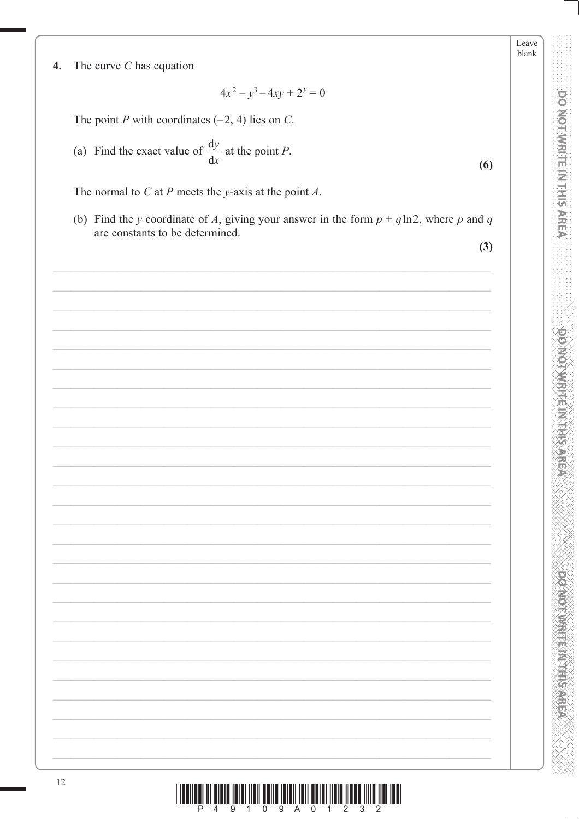Leave blank

**DO MOT WRITE IN THIS AREA** 

**DOMOTAMENT AT HIS AREA** 

**DOOMOTOMERINGSISSARE** 

The curve  $C$  has equation  $\boldsymbol{4}$ .

 $\frac{1}{\sqrt{2}}$ 

12

 $4x^2 - y^3 - 4xy + 2^y = 0$ 

The point P with coordinates  $(-2, 4)$  lies on C.

(a) Find the exact value of  $\frac{dy}{dx}$  at the point *P*.

The normal to  $C$  at  $P$  meets the y-axis at the point  $A$ .

(b) Find the y coordinate of A, giving your answer in the form  $p + q \ln 2$ , where p and q are constants to be determined.

 $(3)$ 

 $(6)$ 

| $\begin{array}{c} \hline \rule{0pt}{2.5ex} \rule{0pt}{2.5ex} \rule{0pt}{2.5ex} \rule{0pt}{2.5ex} \rule{0pt}{2.5ex} \rule{0pt}{2.5ex} \rule{0pt}{2.5ex} \rule{0pt}{2.5ex} \rule{0pt}{2.5ex} \rule{0pt}{2.5ex} \rule{0pt}{2.5ex} \rule{0pt}{2.5ex} \rule{0pt}{2.5ex} \rule{0pt}{2.5ex} \rule{0pt}{2.5ex} \rule{0pt}{2.5ex} \rule{0pt}{2.5ex} \rule{0pt}{2.5ex} \rule{0pt}{2.5ex} \$ |  |
|-----------------------------------------------------------------------------------------------------------------------------------------------------------------------------------------------------------------------------------------------------------------------------------------------------------------------------------------------------------------------------------|--|
|                                                                                                                                                                                                                                                                                                                                                                                   |  |
|                                                                                                                                                                                                                                                                                                                                                                                   |  |
|                                                                                                                                                                                                                                                                                                                                                                                   |  |
|                                                                                                                                                                                                                                                                                                                                                                                   |  |
|                                                                                                                                                                                                                                                                                                                                                                                   |  |
|                                                                                                                                                                                                                                                                                                                                                                                   |  |
|                                                                                                                                                                                                                                                                                                                                                                                   |  |
|                                                                                                                                                                                                                                                                                                                                                                                   |  |
|                                                                                                                                                                                                                                                                                                                                                                                   |  |
|                                                                                                                                                                                                                                                                                                                                                                                   |  |
|                                                                                                                                                                                                                                                                                                                                                                                   |  |
|                                                                                                                                                                                                                                                                                                                                                                                   |  |
|                                                                                                                                                                                                                                                                                                                                                                                   |  |
|                                                                                                                                                                                                                                                                                                                                                                                   |  |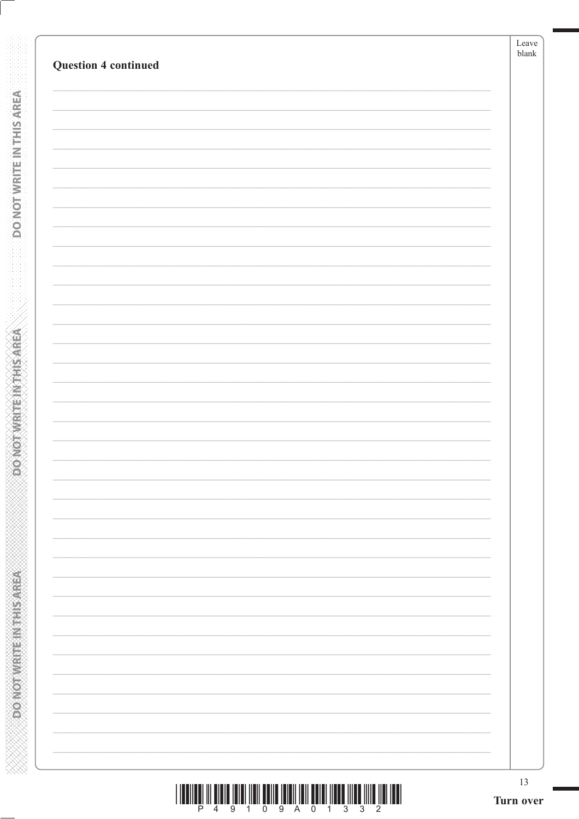**DO NOT WRITE INTERSAREA** 

**ABBASE IN MARKED AND CONCOR** 

|  |  |  | 4 9 1 0 9 A 0 1 3 3 |  |  |  |
|--|--|--|---------------------|--|--|--|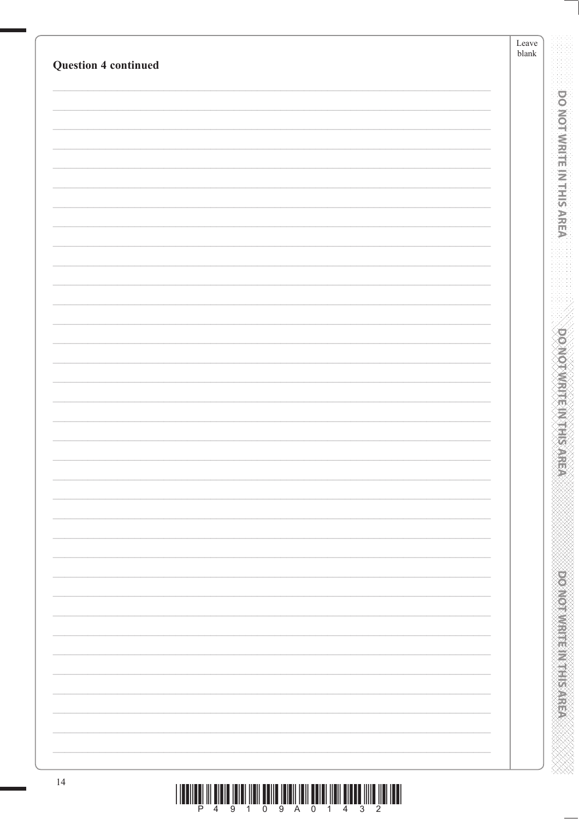|    | <b>Question 4 continued</b>                                                                                                                                                                                                                                                                                                                                                                                                                                   |  |
|----|---------------------------------------------------------------------------------------------------------------------------------------------------------------------------------------------------------------------------------------------------------------------------------------------------------------------------------------------------------------------------------------------------------------------------------------------------------------|--|
|    |                                                                                                                                                                                                                                                                                                                                                                                                                                                               |  |
|    |                                                                                                                                                                                                                                                                                                                                                                                                                                                               |  |
|    |                                                                                                                                                                                                                                                                                                                                                                                                                                                               |  |
|    |                                                                                                                                                                                                                                                                                                                                                                                                                                                               |  |
|    |                                                                                                                                                                                                                                                                                                                                                                                                                                                               |  |
|    |                                                                                                                                                                                                                                                                                                                                                                                                                                                               |  |
|    |                                                                                                                                                                                                                                                                                                                                                                                                                                                               |  |
|    |                                                                                                                                                                                                                                                                                                                                                                                                                                                               |  |
|    |                                                                                                                                                                                                                                                                                                                                                                                                                                                               |  |
|    |                                                                                                                                                                                                                                                                                                                                                                                                                                                               |  |
|    |                                                                                                                                                                                                                                                                                                                                                                                                                                                               |  |
|    |                                                                                                                                                                                                                                                                                                                                                                                                                                                               |  |
|    |                                                                                                                                                                                                                                                                                                                                                                                                                                                               |  |
|    |                                                                                                                                                                                                                                                                                                                                                                                                                                                               |  |
|    |                                                                                                                                                                                                                                                                                                                                                                                                                                                               |  |
|    |                                                                                                                                                                                                                                                                                                                                                                                                                                                               |  |
|    |                                                                                                                                                                                                                                                                                                                                                                                                                                                               |  |
|    |                                                                                                                                                                                                                                                                                                                                                                                                                                                               |  |
|    |                                                                                                                                                                                                                                                                                                                                                                                                                                                               |  |
|    |                                                                                                                                                                                                                                                                                                                                                                                                                                                               |  |
|    |                                                                                                                                                                                                                                                                                                                                                                                                                                                               |  |
|    |                                                                                                                                                                                                                                                                                                                                                                                                                                                               |  |
| 14 | $\begin{array}{c} \text{if} \ \text{if} \ \text{if} \ \text{if} \ \text{if} \ \text{if} \ \text{if} \ \text{if} \ \text{if} \ \text{if} \ \text{if} \ \text{if} \ \text{if} \ \text{if} \ \text{if} \ \text{if} \ \text{if} \ \text{if} \ \text{if} \ \text{if} \ \text{if} \ \text{if} \ \text{if} \ \text{if} \ \text{if} \ \text{if} \ \text{if} \ \text{if} \ \text{if} \ \text{if} \ \text{if} \ \text{if} \ \text{if} \ \text{if} \ \text{if} \ \text{$ |  |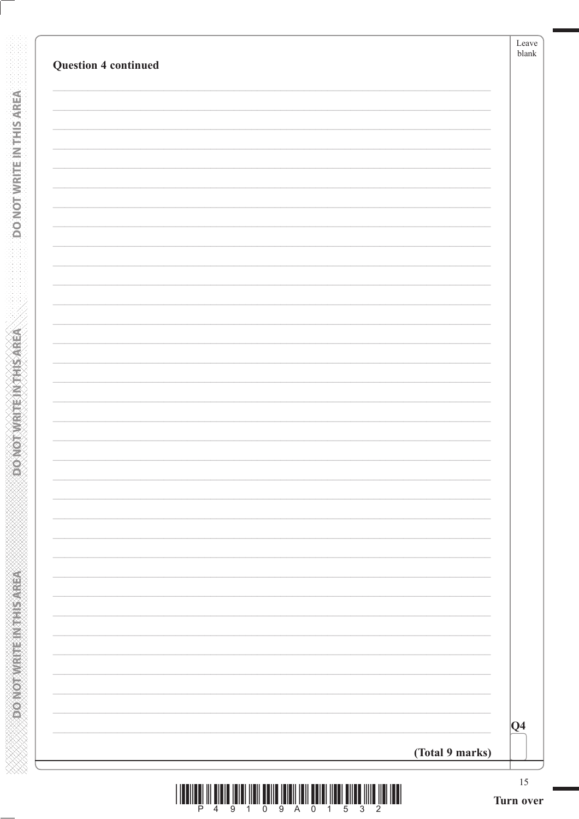| $ Q_4 $ |
|---------|

**DONOTWRITEINTHISAREA** 

**ASSAMPLINES IN THIS AREA**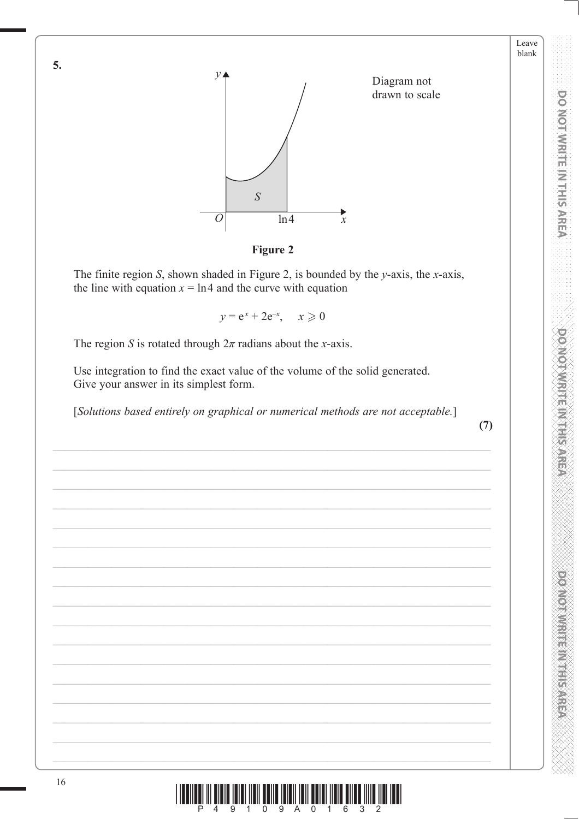

**Figure 2** 

The finite region S, shown shaded in Figure 2, is bounded by the y-axis, the x-axis, the line with equation  $x = \ln 4$  and the curve with equation

 $y = e^x + 2e^{-x}, \quad x \ge 0$ 

The region S is rotated through  $2\pi$  radians about the x-axis.

Use integration to find the exact value of the volume of the solid generated. Give your answer in its simplest form.

[Solutions based entirely on graphical or numerical methods are not acceptable.]

 $(7)$ 

Leave blank

**DOINOT WRITE IN THIS AREA** 

**DO NOT WRITE IN THIS AREA** 



16

5.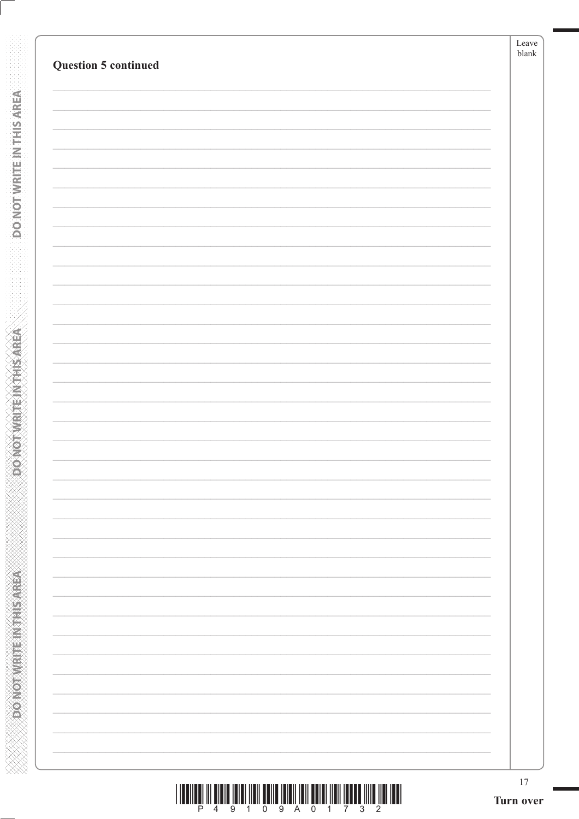**DO NOT WRITE INTERSAREA** 

**ABBASE IN MARKED AND CONCOR** 

| <u> I III AN DI MARI INI MARI INI MARI INI MARI INI MARI INI MARI INI MARI INI MARI INI MARI INI MARI INI MARI INI</u> |  |  |                       |  |  |  |  |
|------------------------------------------------------------------------------------------------------------------------|--|--|-----------------------|--|--|--|--|
|                                                                                                                        |  |  | 4 9 1 0 9 A 0 1 7 3 2 |  |  |  |  |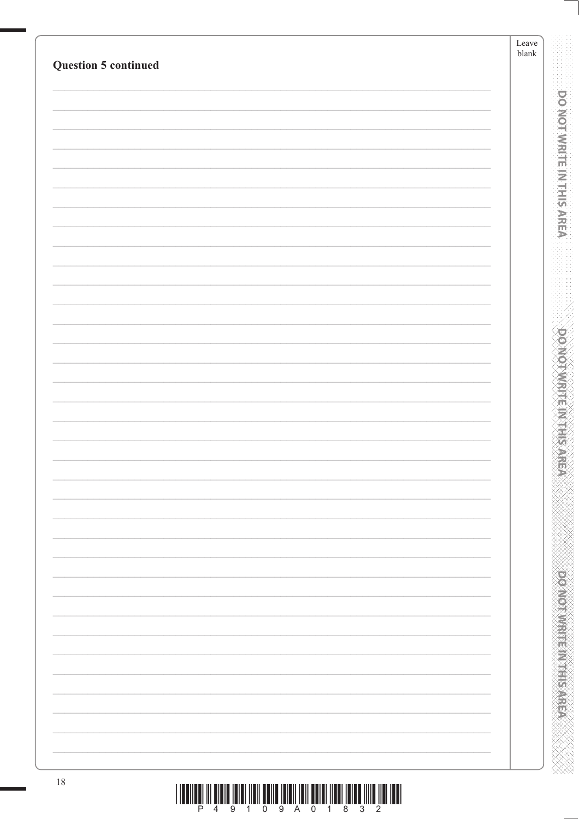| <b>Question 5 continued</b> | Leave<br>$\ensuremath{\textrm{blank}}$ |
|-----------------------------|----------------------------------------|
|                             |                                        |
|                             |                                        |
|                             |                                        |
|                             |                                        |
|                             |                                        |
|                             |                                        |
|                             |                                        |
|                             |                                        |
|                             |                                        |
|                             |                                        |
|                             |                                        |
|                             |                                        |
|                             |                                        |
|                             |                                        |
|                             |                                        |
|                             |                                        |
|                             |                                        |
|                             |                                        |
|                             |                                        |
|                             |                                        |
|                             |                                        |
|                             |                                        |
|                             |                                        |
|                             |                                        |
|                             |                                        |
|                             |                                        |
|                             |                                        |
|                             |                                        |
|                             |                                        |
|                             |                                        |
|                             |                                        |
|                             |                                        |
|                             |                                        |
|                             |                                        |
|                             |                                        |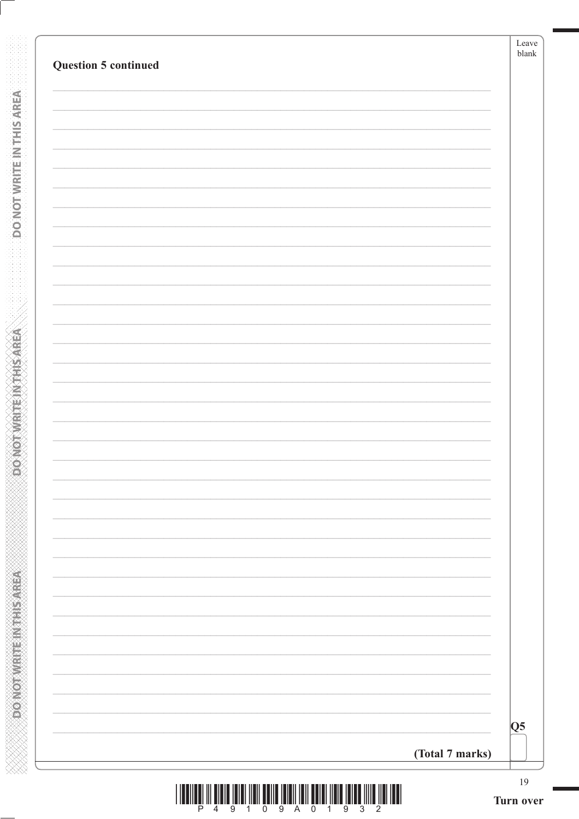| <b>Question 5 continued</b> |                                     |
|-----------------------------|-------------------------------------|
|                             |                                     |
|                             |                                     |
|                             |                                     |
|                             |                                     |
|                             |                                     |
|                             |                                     |
|                             |                                     |
|                             |                                     |
|                             |                                     |
|                             |                                     |
|                             |                                     |
|                             |                                     |
|                             |                                     |
|                             |                                     |
|                             |                                     |
|                             |                                     |
|                             |                                     |
|                             |                                     |
|                             |                                     |
|                             |                                     |
|                             |                                     |
|                             |                                     |
|                             |                                     |
|                             |                                     |
|                             |                                     |
|                             |                                     |
|                             | $\overline{\overline{\mathsf{Q}}5}$ |
|                             | (Total 7 marks)                     |

**DONOTWRITE INTELERANCE** 

DONOTWRITE INTHIS AREA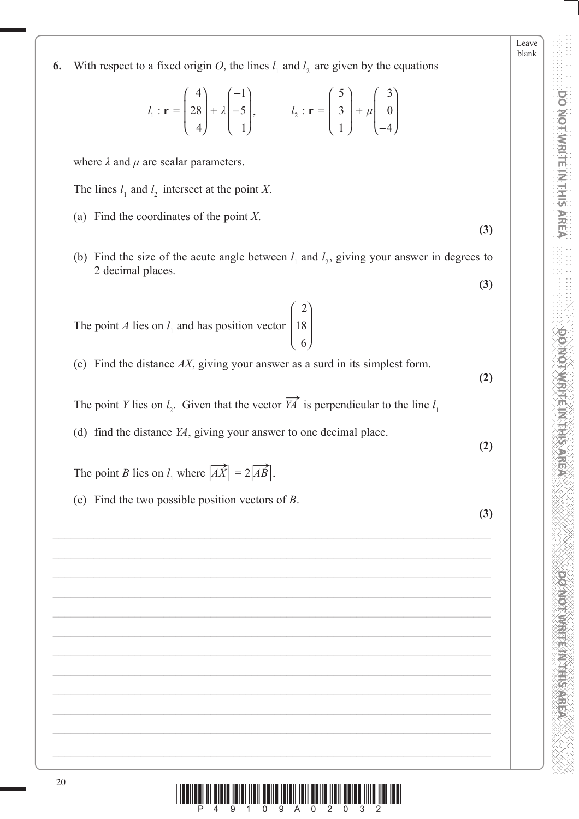1  $: \mathbf{r} = | 28 | + \lambda | -5$  $l_i$ :  $\mathbf{r} = |28| + \lambda$  $\mathbf{r} = \begin{bmatrix} 28 \\ 4 \end{bmatrix} + \lambda \begin{bmatrix} -5 \\ 1 \end{bmatrix}, \quad l_2$  $:\mathbf{r} = \begin{vmatrix} 3 & -1 \\ 1 & 0 \end{vmatrix}$  $l_2$ :  $\mathbf{r} = \begin{vmatrix} 3 \\ +1 \end{vmatrix}$  $\mathbf{r} = \begin{bmatrix} 3 \\ 1 \end{bmatrix} + \mu \begin{bmatrix} 0 \\ -4 \end{bmatrix}$ 

 $4) (-1)$ 

 $(4)$   $(-1)$ 

4 | 1

**6.** With respect to a fixed origin *O*, the lines  $l_1$  and  $l_2$  are given by the equations

where  $\lambda$  and  $\mu$  are scalar parameters.

The lines  $l_1$  and  $l_2$  intersect at the point *X*.

- (a) Find the coordinates of the point *X*.
- (b) Find the size of the acute angle between  $l_1$  and  $l_2$ , giving your answer in degrees to 2 decimal places.

2

⎞

⎟ ⎟

⎠

 $5) 63$ 

 $(5)$   $(3)$ 

1 4

The point  $A$  lies on  $l_1$  and has position vector 18 6  $\sqrt{}$ ⎝  $\mathsf I$ ⎜

(c) Find the distance *AX*, giving your answer as a surd in its simplest form.

The point *Y* lies on  $l_2$ . Given that the vector  $\overrightarrow{YA}$  is perpendicular to the line  $l_1$ 

(d) find the distance *YA*, giving your answer to one decimal place.

The point *B* lies on  $l_1$  where  $|\overrightarrow{AX}| = 2|\overrightarrow{AB}|$ .

(e) Find the two possible position vectors of *B*.

Leave blank

**DOMOTWRITEM HISPRET** 



**(2)**

**(2)**

**(3)**

**(3)**

**(3)**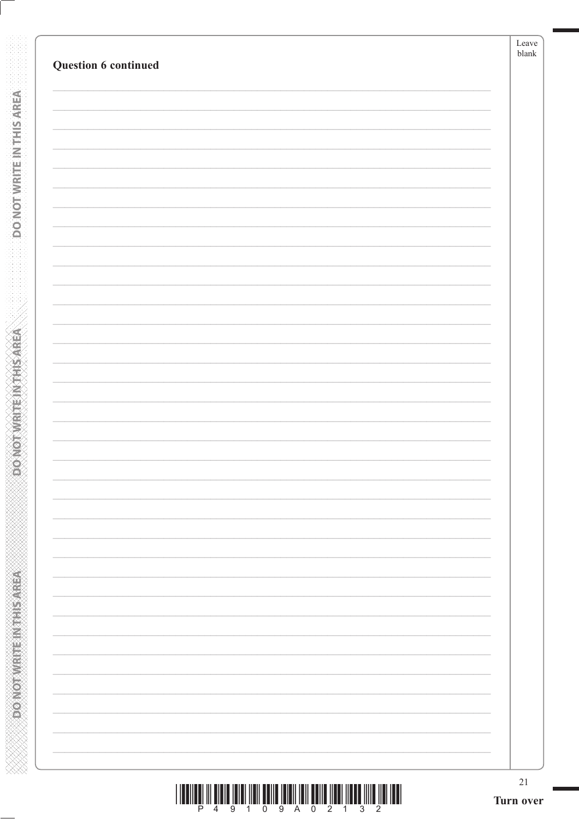**DONOTWRITE INTHISAREA** 

**ABING THE END OF CONFORM** 

| <u>TERMINI IN BERTAHUN DENGAN BERKUAL DENGAN BERKUAL DI BERKUAL DI BI</u> |  |  |  |  |
|---------------------------------------------------------------------------|--|--|--|--|
|                                                                           |  |  |  |  |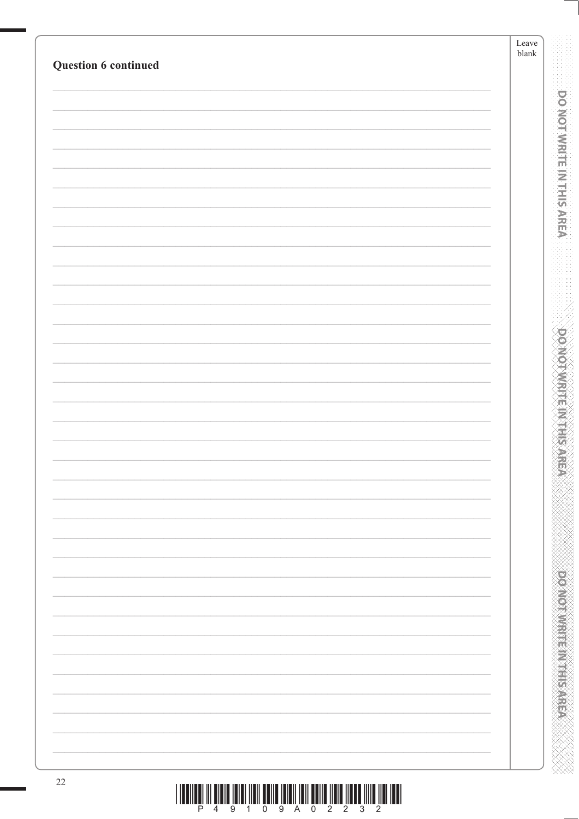| Question 6 continued |  |
|----------------------|--|
|                      |  |
|                      |  |
|                      |  |
|                      |  |
|                      |  |
|                      |  |
|                      |  |
|                      |  |
|                      |  |
|                      |  |
|                      |  |
|                      |  |
|                      |  |
|                      |  |
|                      |  |
|                      |  |
|                      |  |
|                      |  |
|                      |  |
|                      |  |
|                      |  |
|                      |  |
|                      |  |
|                      |  |
|                      |  |
|                      |  |
|                      |  |
|                      |  |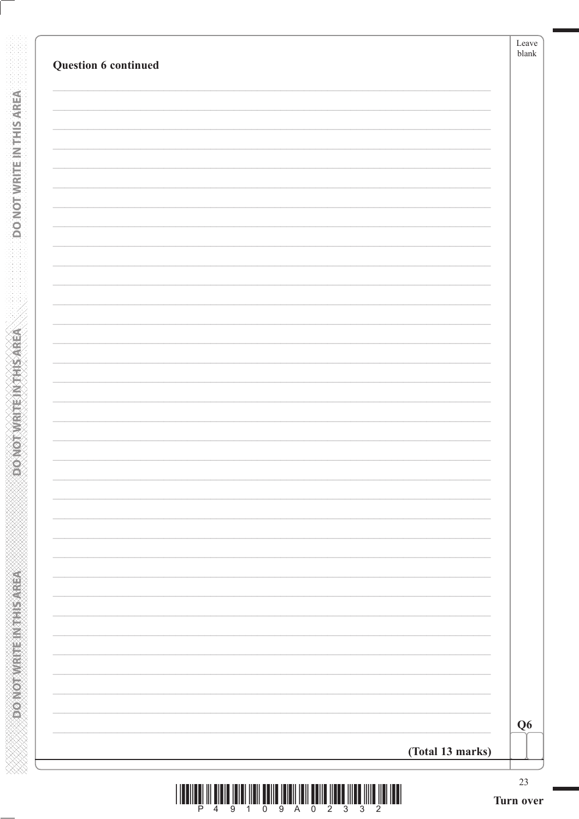| Q <sub>6</sub>   |
|------------------|
| (Total 13 marks) |

**DONOTWRITEINTHISAREA** 

**POINOT WRITEIN THIS AREA**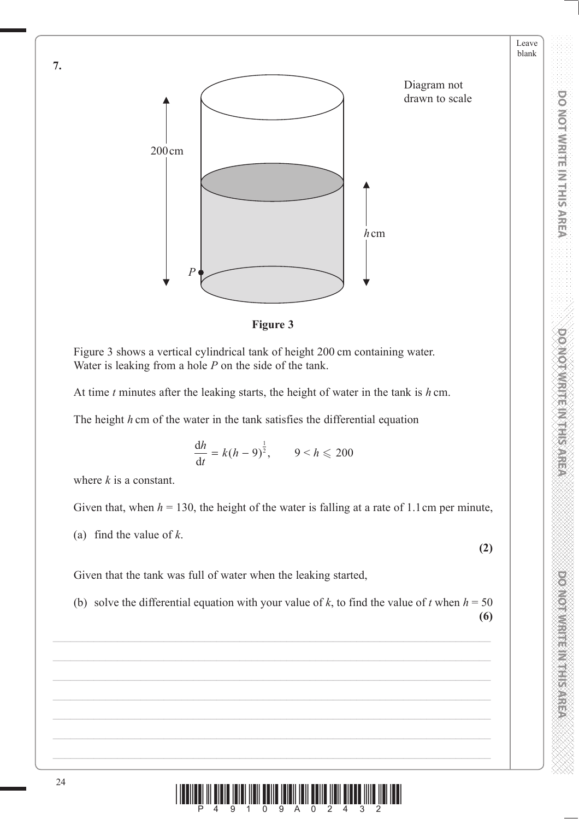



Figure 3 shows a vertical cylindrical tank of height 200 cm containing water. Water is leaking from a hole *P* on the side of the tank.

At time *t* minutes after the leaking starts, the height of water in the tank is *h* cm.

The height *h* cm of the water in the tank satisfies the differential equation

$$
\frac{\mathrm{d}h}{\mathrm{d}t} = k(h-9)^{\frac{1}{2}}, \qquad 9 < h \leqslant 200
$$

where *k* is a constant.

Given that, when  $h = 130$ , the height of the water is falling at a rate of 1.1 cm per minute,

(a) find the value of *k*.

**(2)**

Leave blank **PONOT WRITE IN THIS AREA DO NOT WRITE IN THIS AREA DO NOT WRITE IN THIS AREA DO NOT WRITE IN THIS AREA DO NOT W** 

**DO NOT WRITE IN THIS AREA** 

**PONDIAN REPORT SARRING** 

**DO NOT WRITE IN THIS AREA** 

Given that the tank was full of water when the leaking started,

(b) solve the differential equation with your value of  $k$ , to find the value of  $t$  when  $h = 50$ 

**(6)**



**7.**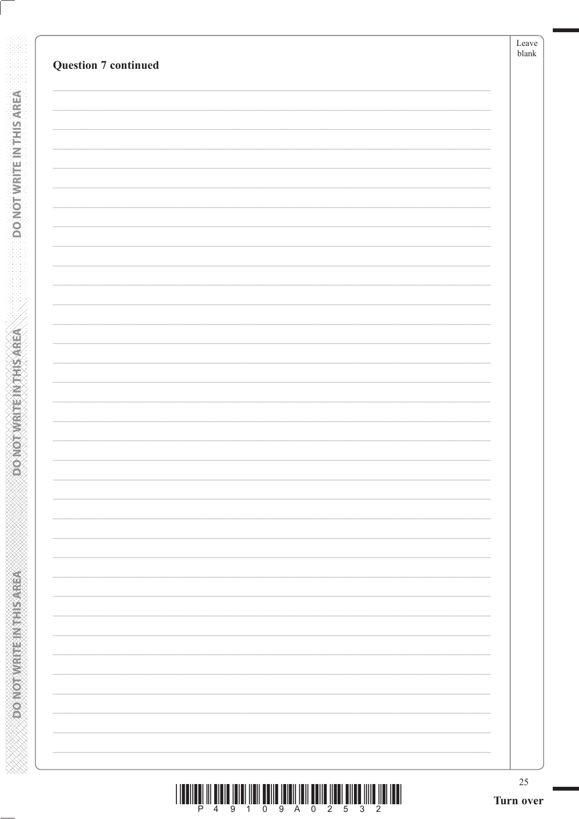| $25\,$<br>Turn over |
|---------------------|
|                     |
|                     |
|                     |
|                     |
|                     |
|                     |
|                     |
|                     |
|                     |
|                     |
|                     |
|                     |
|                     |
|                     |
|                     |
|                     |
|                     |
|                     |
|                     |
|                     |
|                     |
|                     |
|                     |
|                     |
|                     |
|                     |
|                     |
|                     |
|                     |
|                     |
|                     |

**DONOTWRITE INTHISAREA** 

**ABBASE IN MARKED AND CONCOR** 

|  |  |  | 4 9 1 0 9 A 0 2 5 3 2 |  |  |  |
|--|--|--|-----------------------|--|--|--|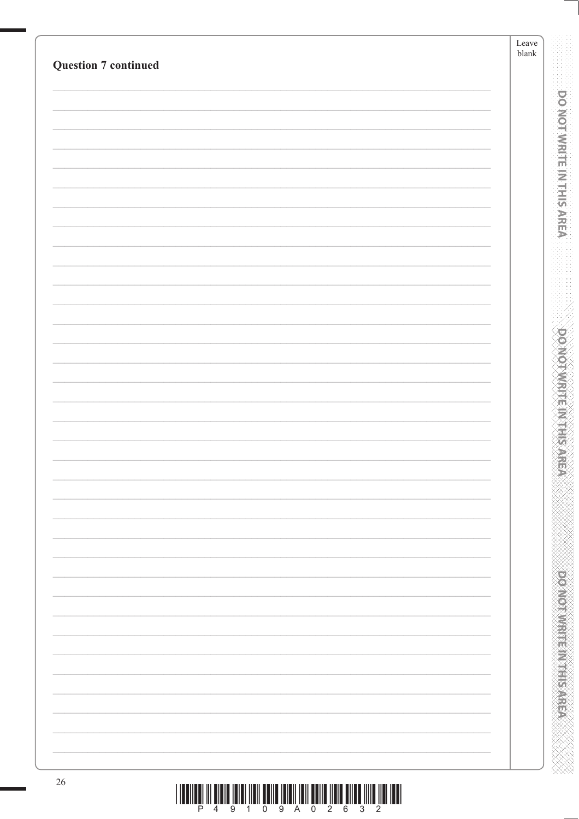| <b>Question 7 continued</b> | Leave<br>${\tt blank}$ |
|-----------------------------|------------------------|
|                             |                        |
|                             |                        |
|                             |                        |
|                             |                        |
|                             |                        |
|                             |                        |
|                             |                        |
|                             |                        |
|                             |                        |
|                             |                        |
|                             |                        |
|                             |                        |
|                             |                        |
|                             |                        |
|                             |                        |
|                             |                        |
|                             |                        |
|                             |                        |
|                             |                        |
|                             |                        |
|                             |                        |
|                             |                        |
|                             |                        |
|                             |                        |
|                             |                        |
|                             |                        |
|                             |                        |
|                             |                        |
|                             |                        |
|                             |                        |
|                             |                        |
|                             |                        |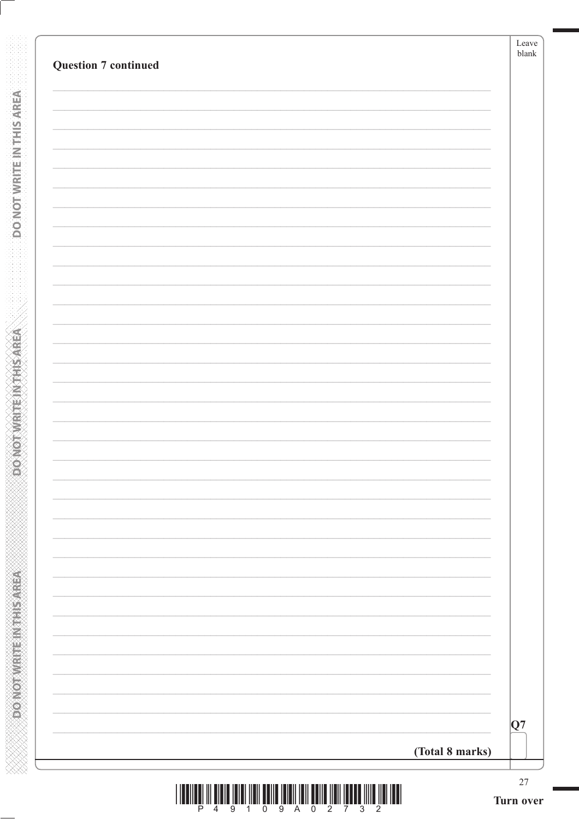| <b>Question 7 continued</b> |                 | Leave<br>${\tt blank}$ |
|-----------------------------|-----------------|------------------------|
|                             |                 |                        |
|                             |                 |                        |
|                             |                 |                        |
|                             |                 |                        |
|                             |                 |                        |
|                             |                 |                        |
|                             |                 |                        |
|                             |                 |                        |
|                             |                 |                        |
|                             |                 |                        |
|                             |                 |                        |
|                             |                 |                        |
|                             |                 |                        |
|                             |                 |                        |
|                             |                 |                        |
|                             |                 |                        |
|                             |                 |                        |
|                             |                 |                        |
|                             |                 |                        |
|                             | (Total 8 marks) | Q7                     |

**DONOTWRITEINTHISAREA** 

**RERASSINE IN ENDING YOURS** 

ANNAN MANAN MANAN MANAN MANAN

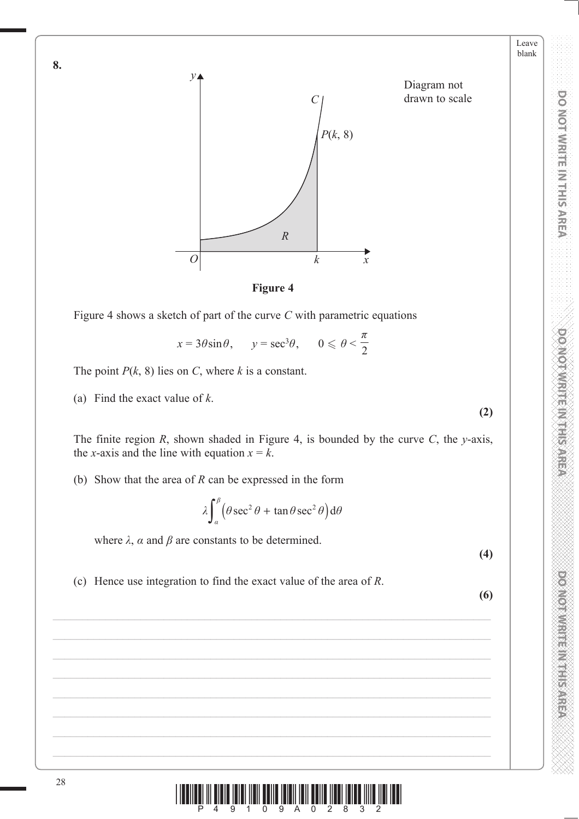



Figure 4 shows a sketch of part of the curve *C* with parametric equations

$$
x = 3\theta \sin \theta
$$
,  $y = \sec^3 \theta$ ,  $0 \le \theta < \frac{\pi}{2}$ 

The point  $P(k, 8)$  lies on *C*, where *k* is a constant.

(a) Find the exact value of *k*.

The finite region *R*, shown shaded in Figure 4, is bounded by the curve *C*, the *y*-axis, the *x*-axis and the line with equation  $x = k$ .

(b) Show that the area of *R* can be expressed in the form

$$
\lambda \int_{\alpha}^{\beta} \left( \theta \sec^2 \theta + \tan \theta \sec^2 \theta \right) d\theta
$$

where  $\lambda$ ,  $\alpha$  and  $\beta$  are constants to be determined.

**(4)**

**(2)**

Leave blank **PONOT WRITE IN THIS AREA DO NOT WRITE IN THIS AREA DO NOT WRITE IN THIS AREA DO NOT WRITE IN THIS AREA DO NOT W** 

DO NOT WRITE IN THIS AREA

**PONDIAN REPORT SARRING** 

**DO NOT WRITE IN THIS AREA** 

(c) Hence use integration to find the exact value of the area of *R*.

28  $\left|\frac{1}{4}\right|\left|\frac{1}{9}\right|\left|\frac{1}{4}\right|\left|\frac{1}{9}\right|\left|\frac{1}{9}\right|\left|\frac{1}{9}\right|\left|\frac{1}{9}\right|\left|\frac{1}{2}\right|\left|\frac{1}{2}\right|\left|\frac{1}{2}\right|\left|\frac{1}{2}\right|\left|\frac{1}{2}\right|\left|\frac{1}{2}\right|\left|\frac{1}{2}\right|\left|\frac{1}{2}\right|\left|\frac{1}{2}\right|\left|\frac{1}{2}\right|\left|\frac{1}{2}\right|\left|\frac{1}{2}\right|\left|\frac{1}{2}\right|\left|\frac{1}{2}\right|\left|\frac{1}{$ 



**8.**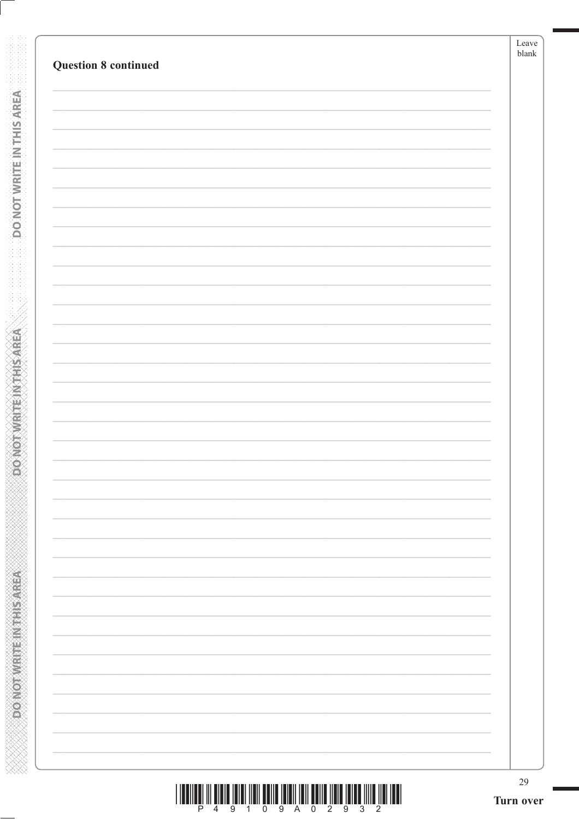|  | 29 |
|--|----|
|  |    |
|  |    |
|  |    |
|  |    |
|  |    |
|  |    |
|  |    |
|  |    |
|  |    |
|  |    |
|  |    |
|  |    |
|  |    |
|  |    |
|  |    |
|  |    |
|  |    |
|  |    |
|  |    |
|  |    |
|  |    |
|  |    |
|  |    |
|  |    |
|  |    |

**DO NOT WRITE INTERSAREA** 

**ABBASE IN MARKED AND CONCOR** 

|  | 49109A02932 |  |  |  |  |  |
|--|-------------|--|--|--|--|--|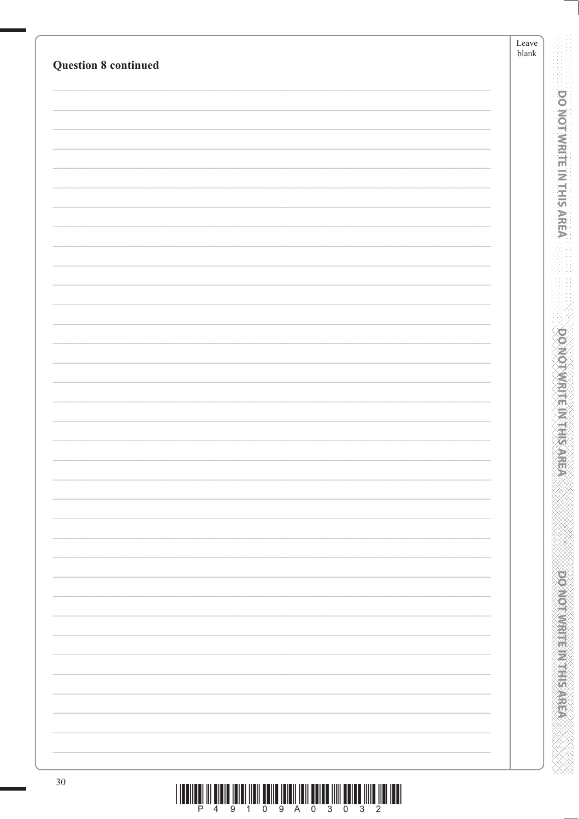| <b>Question 8 continued</b> | Leave<br>$b$ lank |
|-----------------------------|-------------------|
|                             |                   |
|                             |                   |
|                             |                   |
|                             |                   |
|                             |                   |
|                             |                   |
|                             |                   |
|                             |                   |
|                             |                   |
|                             |                   |
|                             |                   |
|                             |                   |
|                             |                   |
|                             |                   |
|                             |                   |
|                             |                   |
|                             |                   |
|                             |                   |
|                             |                   |
|                             |                   |
|                             |                   |
|                             |                   |
|                             |                   |
|                             |                   |
|                             |                   |
|                             |                   |
|                             |                   |
|                             |                   |
|                             |                   |
|                             |                   |
|                             |                   |
|                             |                   |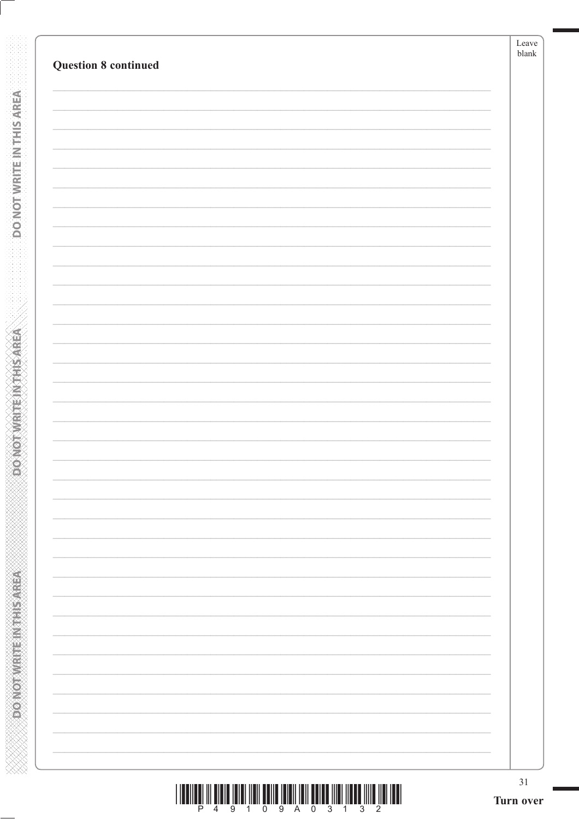|  | 31<br>Turn over |
|--|-----------------|
|  |                 |
|  |                 |
|  |                 |
|  |                 |
|  |                 |
|  |                 |
|  |                 |
|  |                 |
|  |                 |
|  |                 |
|  |                 |
|  |                 |
|  |                 |
|  |                 |
|  |                 |
|  |                 |
|  |                 |
|  |                 |
|  |                 |
|  |                 |
|  |                 |
|  |                 |
|  |                 |
|  |                 |
|  |                 |
|  |                 |
|  |                 |
|  |                 |
|  |                 |

**DO NOT WRITE INTERSAREA** 

**ASSESSMENT PRODUCTION** 

|  |  | 4 9 1 0 9 A 0 3 1 3 2 |  |  |  |  |
|--|--|-----------------------|--|--|--|--|